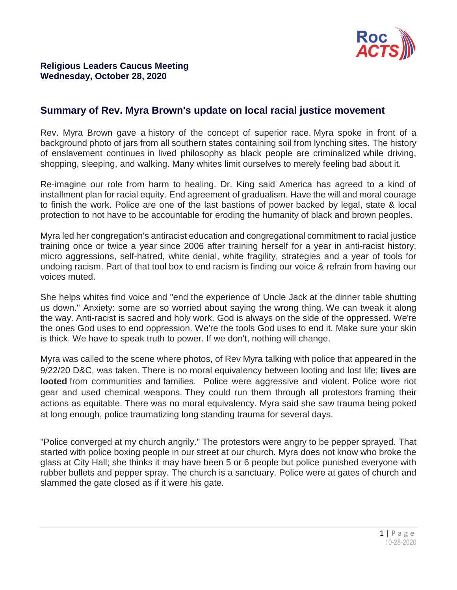

## **Summary of Rev. Myra Brown's update on local racial justice movement**

Rev. Myra Brown gave a history of the concept of superior race. Myra spoke in front of a background photo of jars from all southern states containing soil from lynching sites. The history of enslavement continues in lived philosophy as black people are criminalized while driving, shopping, sleeping, and walking. Many whites limit ourselves to merely feeling bad about it.

Re-imagine our role from harm to healing. Dr. King said America has agreed to a kind of installment plan for racial equity. End agreement of gradualism. Have the will and moral courage to finish the work. Police are one of the last bastions of power backed by legal, state & local protection to not have to be accountable for eroding the humanity of black and brown peoples.

Myra led her congregation's antiracist education and congregational commitment to racial justice training once or twice a year since 2006 after training herself for a year in anti-racist history, micro aggressions, self-hatred, white denial, white fragility, strategies and a year of tools for undoing racism. Part of that tool box to end racism is finding our voice & refrain from having our voices muted.

She helps whites find voice and "end the experience of Uncle Jack at the dinner table shutting us down." Anxiety: some are so worried about saying the wrong thing. We can tweak it along the way. Anti-racist is sacred and holy work. God is always on the side of the oppressed. We're the ones God uses to end oppression. We're the tools God uses to end it. Make sure your skin is thick. We have to speak truth to power. If we don't, nothing will change.

Myra was called to the scene where photos, of Rev Myra talking with police that appeared in the 9/22/20 D&C, was taken. There is no moral equivalency between looting and lost life; **lives are looted** from communities and families. Police were aggressive and violent. Police wore riot gear and used chemical weapons. They could run them through all protestors framing their actions as equitable. There was no moral equivalency. Myra said she saw trauma being poked at long enough, police traumatizing long standing trauma for several days.

"Police converged at my church angrily." The protestors were angry to be pepper sprayed. That started with police boxing people in our street at our church. Myra does not know who broke the glass at City Hall; she thinks it may have been 5 or 6 people but police punished everyone with rubber bullets and pepper spray. The church is a sanctuary. Police were at gates of church and slammed the gate closed as if it were his gate.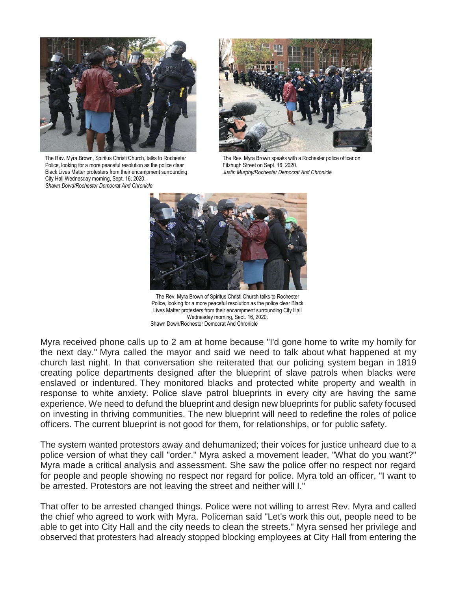

The Rev. Myra Brown, Spiritus Christi Church, talks to Rochester Police, looking for a more peaceful resolution as the police clear Black Lives Matter protesters from their encampment surrounding City Hall Wednesday morning, Sept. 16, 2020. *Shawn Dowd/Rochester Democrat And Chronicle*



The Rev. Myra Brown speaks with a Rochester police officer on Fitzhugh Street on Sept. 16, 2020. *Justin Murphy/Rochester Democrat And Chronicle*



The Rev. Myra Brown of Spiritus Christi Church talks to Rochester Police, looking for a more peaceful resolution as the police clear Black Lives Matter protesters from their encampment surrounding City Hall Wednesday morning, Seot. 16, 2020. Shawn Down/Rochester Democrat And Chronicle

Myra received phone calls up to 2 am at home because "I'd gone home to write my homily for the next day." Myra called the mayor and said we need to talk about what happened at my church last night. In that conversation she reiterated that our policing system began in 1819 creating police departments designed after the blueprint of slave patrols when blacks were enslaved or indentured. They monitored blacks and protected white property and wealth in response to white anxiety. Police slave patrol blueprints in every city are having the same experience. We need to defund the blueprint and design new blueprints for public safety focused on investing in thriving communities. The new blueprint will need to redefine the roles of police officers. The current blueprint is not good for them, for relationships, or for public safety.

The system wanted protestors away and dehumanized; their voices for justice unheard due to a police version of what they call "order." Myra asked a movement leader, "What do you want?" Myra made a critical analysis and assessment. She saw the police offer no respect nor regard for people and people showing no respect nor regard for police. Myra told an officer, "I want to be arrested. Protestors are not leaving the street and neither will I."

That offer to be arrested changed things. Police were not willing to arrest Rev. Myra and called the chief who agreed to work with Myra. Policeman said "Let's work this out, people need to be able to get into City Hall and the city needs to clean the streets." Myra sensed her privilege and observed that protesters had already stopped blocking employees at City Hall from entering the